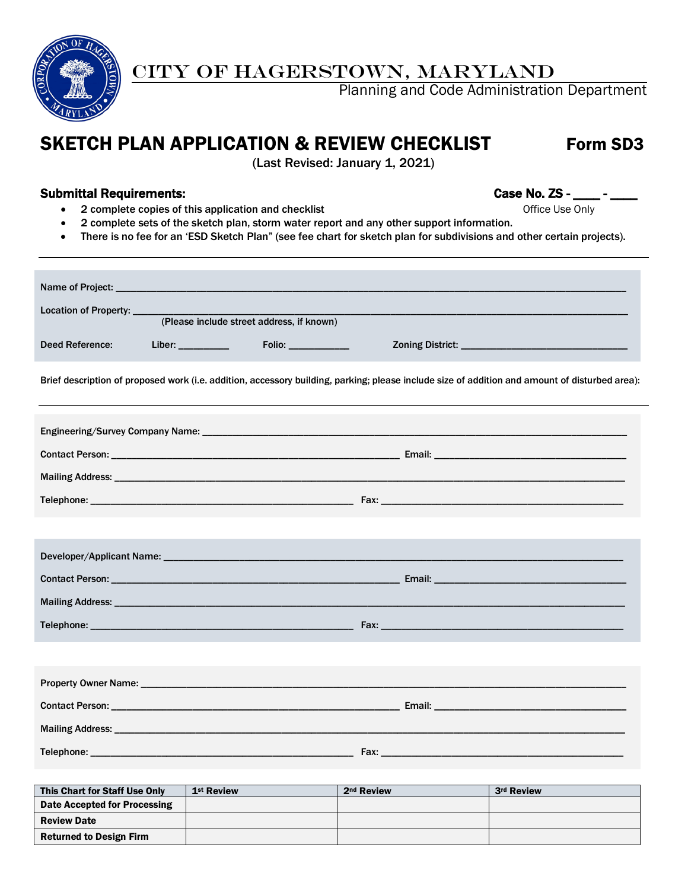

# CITY OF HAGERSTOWN, MARYLAND

Planning and Code Administration Department

## SKETCH PLAN APPLICATION & REVIEW CHECKLIST Form SD3

(Last Revised: January 1, 2021)

### Submittal Requirements: example of the state of the case No. ZS - \_\_\_\_ - \_\_\_\_ -

- 2 complete copies of this application and checklist **Complete Constanting Constanting Constanting Constanting Constanting Constanting Constanting Constanting Constanting Constanting Constanting Constanting Constanting Co**
- 2 complete sets of the sketch plan, storm water report and any other support information.
- There is no fee for an 'ESD Sketch Plan" (see fee chart for sketch plan for subdivisions and other certain projects).

| Location of Property: ____    |                        |                                           |                        |                                                                                                                                                |  |  |
|-------------------------------|------------------------|-------------------------------------------|------------------------|------------------------------------------------------------------------------------------------------------------------------------------------|--|--|
|                               |                        | (Please include street address, if known) |                        |                                                                                                                                                |  |  |
| Deed Reference:               | Liber: ___________     | Folio: __________                         |                        |                                                                                                                                                |  |  |
|                               |                        |                                           |                        | Brief description of proposed work (i.e. addition, accessory building, parking; please include size of addition and amount of disturbed area): |  |  |
|                               |                        |                                           |                        |                                                                                                                                                |  |  |
|                               |                        |                                           |                        |                                                                                                                                                |  |  |
|                               |                        |                                           |                        |                                                                                                                                                |  |  |
|                               |                        |                                           |                        |                                                                                                                                                |  |  |
|                               |                        |                                           |                        |                                                                                                                                                |  |  |
|                               |                        |                                           |                        |                                                                                                                                                |  |  |
|                               |                        |                                           |                        |                                                                                                                                                |  |  |
|                               |                        |                                           |                        |                                                                                                                                                |  |  |
|                               |                        |                                           |                        |                                                                                                                                                |  |  |
|                               |                        |                                           |                        |                                                                                                                                                |  |  |
|                               |                        |                                           |                        |                                                                                                                                                |  |  |
|                               |                        |                                           |                        |                                                                                                                                                |  |  |
|                               |                        |                                           |                        |                                                                                                                                                |  |  |
|                               |                        |                                           |                        |                                                                                                                                                |  |  |
| This Chart for Staff Use Only | 1 <sup>st</sup> Review |                                           | 2 <sup>nd</sup> Review | 3rd Review                                                                                                                                     |  |  |

| This Chart for Staff Use Only  | 1 <sup>st</sup> Review | 2 <sup>nd</sup> Review | 3rd Review |
|--------------------------------|------------------------|------------------------|------------|
| Date Accepted for Processing   |                        |                        |            |
| <b>Review Date</b>             |                        |                        |            |
| <b>Returned to Design Firm</b> |                        |                        |            |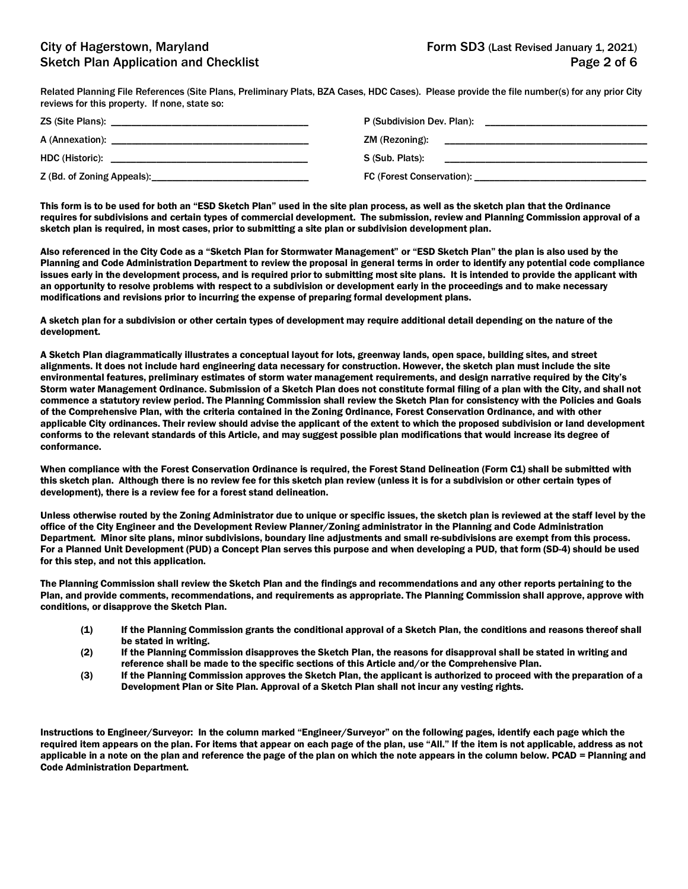Related Planning File References (Site Plans, Preliminary Plats, BZA Cases, HDC Cases). Please provide the file number(s) for any prior City reviews for this property. If none, state so:

|                                 | P (Subdivision Dev. Plan):                                                                         |
|---------------------------------|----------------------------------------------------------------------------------------------------|
|                                 | ZM (Rezoning):                                                                                     |
|                                 | S (Sub. Plats):<br>the contract of the contract of the contract of the contract of the contract of |
| Z (Bd. of Zoning Appeals): 2014 |                                                                                                    |

This form is to be used for both an "ESD Sketch Plan" used in the site plan process, as well as the sketch plan that the Ordinance requires for subdivisions and certain types of commercial development. The submission, review and Planning Commission approval of a sketch plan is required, in most cases, prior to submitting a site plan or subdivision development plan.

Also referenced in the City Code as a "Sketch Plan for Stormwater Management" or "ESD Sketch Plan" the plan is also used by the Planning and Code Administration Department to review the proposal in general terms in order to identify any potential code compliance issues early in the development process, and is required prior to submitting most site plans. It is intended to provide the applicant with an opportunity to resolve problems with respect to a subdivision or development early in the proceedings and to make necessary modifications and revisions prior to incurring the expense of preparing formal development plans.

A sketch plan for a subdivision or other certain types of development may require additional detail depending on the nature of the development.

A Sketch Plan diagrammatically illustrates a conceptual layout for lots, greenway lands, open space, building sites, and street alignments. It does not include hard engineering data necessary for construction. However, the sketch plan must include the site environmental features, preliminary estimates of storm water management requirements, and design narrative required by the City's Storm water Management Ordinance. Submission of a Sketch Plan does not constitute formal filing of a plan with the City, and shall not commence a statutory review period. The Planning Commission shall review the Sketch Plan for consistency with the Policies and Goals of the Comprehensive Plan, with the criteria contained in the Zoning Ordinance, Forest Conservation Ordinance, and with other applicable City ordinances. Their review should advise the applicant of the extent to which the proposed subdivision or land development conforms to the relevant standards of this Article, and may suggest possible plan modifications that would increase its degree of conformance.

When compliance with the Forest Conservation Ordinance is required, the Forest Stand Delineation (Form C1) shall be submitted with this sketch plan. Although there is no review fee for this sketch plan review (unless it is for a subdivision or other certain types of development), there is a review fee for a forest stand delineation.

Unless otherwise routed by the Zoning Administrator due to unique or specific issues, the sketch plan is reviewed at the staff level by the office of the City Engineer and the Development Review Planner/Zoning administrator in the Planning and Code Administration Department. Minor site plans, minor subdivisions, boundary line adjustments and small re-subdivisions are exempt from this process. For a Planned Unit Development (PUD) a Concept Plan serves this purpose and when developing a PUD, that form (SD-4) should be used for this step, and not this application.

The Planning Commission shall review the Sketch Plan and the findings and recommendations and any other reports pertaining to the Plan, and provide comments, recommendations, and requirements as appropriate. The Planning Commission shall approve, approve with conditions, or disapprove the Sketch Plan.

- (1) If the Planning Commission grants the conditional approval of a Sketch Plan, the conditions and reasons thereof shall be stated in writing.
- (2) If the Planning Commission disapproves the Sketch Plan, the reasons for disapproval shall be stated in writing and reference shall be made to the specific sections of this Article and/or the Comprehensive Plan.
- (3) If the Planning Commission approves the Sketch Plan, the applicant is authorized to proceed with the preparation of a Development Plan or Site Plan. Approval of a Sketch Plan shall not incur any vesting rights.

Instructions to Engineer/Surveyor: In the column marked "Engineer/Surveyor" on the following pages, identify each page which the required item appears on the plan. For items that appear on each page of the plan, use "All." If the item is not applicable, address as not applicable in a note on the plan and reference the page of the plan on which the note appears in the column below. PCAD = Planning and Code Administration Department.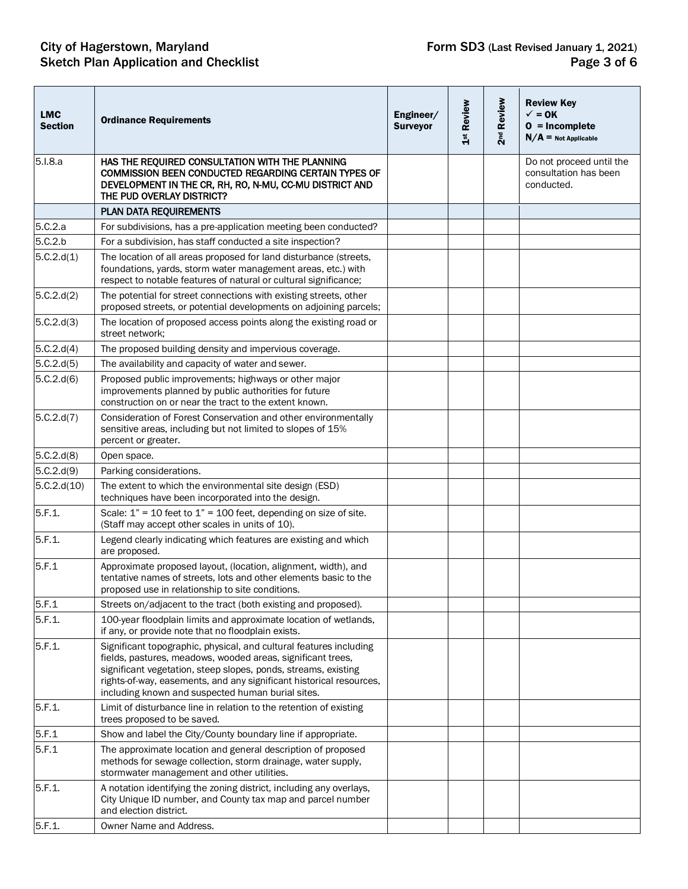| <b>LMC</b><br><b>Section</b> | <b>Ordinance Requirements</b>                                                                                                                                                                                                                                                                                                   | Engineer/<br><b>Surveyor</b> | 1st Review | 2 <sup>nd</sup> Review | <b>Review Key</b><br>$\checkmark$ = 0K<br>$0 = Incomplete$<br>$N/A =$ Not Applicable |
|------------------------------|---------------------------------------------------------------------------------------------------------------------------------------------------------------------------------------------------------------------------------------------------------------------------------------------------------------------------------|------------------------------|------------|------------------------|--------------------------------------------------------------------------------------|
| 5.I.8.a                      | HAS THE REQUIRED CONSULTATION WITH THE PLANNING<br>COMMISSION BEEN CONDUCTED REGARDING CERTAIN TYPES OF<br>DEVELOPMENT IN THE CR, RH, RO, N-MU, CC-MU DISTRICT AND<br>THE PUD OVERLAY DISTRICT?                                                                                                                                 |                              |            |                        | Do not proceed until the<br>consultation has been<br>conducted.                      |
|                              | PLAN DATA REQUIREMENTS                                                                                                                                                                                                                                                                                                          |                              |            |                        |                                                                                      |
| 5.C.2.a                      | For subdivisions, has a pre-application meeting been conducted?                                                                                                                                                                                                                                                                 |                              |            |                        |                                                                                      |
| 5.C.2.b                      | For a subdivision, has staff conducted a site inspection?                                                                                                                                                                                                                                                                       |                              |            |                        |                                                                                      |
| 5.C.2.d(1)                   | The location of all areas proposed for land disturbance (streets,<br>foundations, yards, storm water management areas, etc.) with<br>respect to notable features of natural or cultural significance;                                                                                                                           |                              |            |                        |                                                                                      |
| 5.C.2.d(2)                   | The potential for street connections with existing streets, other<br>proposed streets, or potential developments on adjoining parcels;                                                                                                                                                                                          |                              |            |                        |                                                                                      |
| 5.C.2.d(3)                   | The location of proposed access points along the existing road or<br>street network:                                                                                                                                                                                                                                            |                              |            |                        |                                                                                      |
| 5.C.2.d(4)                   | The proposed building density and impervious coverage.                                                                                                                                                                                                                                                                          |                              |            |                        |                                                                                      |
| 5.C.2.d(5)                   | The availability and capacity of water and sewer.                                                                                                                                                                                                                                                                               |                              |            |                        |                                                                                      |
| 5.C.2.d(6)                   | Proposed public improvements; highways or other major<br>improvements planned by public authorities for future<br>construction on or near the tract to the extent known.                                                                                                                                                        |                              |            |                        |                                                                                      |
| 5.C.2.d(7)                   | Consideration of Forest Conservation and other environmentally<br>sensitive areas, including but not limited to slopes of 15%<br>percent or greater.                                                                                                                                                                            |                              |            |                        |                                                                                      |
| 5.C.2.d(8)                   | Open space.                                                                                                                                                                                                                                                                                                                     |                              |            |                        |                                                                                      |
| 5.C.2.d(9)                   | Parking considerations.                                                                                                                                                                                                                                                                                                         |                              |            |                        |                                                                                      |
| 5.C.2.d(10)                  | The extent to which the environmental site design (ESD)<br>techniques have been incorporated into the design.                                                                                                                                                                                                                   |                              |            |                        |                                                                                      |
| 5.F.1.                       | Scale: $1" = 10$ feet to $1" = 100$ feet, depending on size of site.<br>(Staff may accept other scales in units of 10).                                                                                                                                                                                                         |                              |            |                        |                                                                                      |
| 5.F.1.                       | Legend clearly indicating which features are existing and which<br>are proposed.                                                                                                                                                                                                                                                |                              |            |                        |                                                                                      |
| 5.F.1                        | Approximate proposed layout, (location, alignment, width), and<br>tentative names of streets, lots and other elements basic to the<br>proposed use in relationship to site conditions.                                                                                                                                          |                              |            |                        |                                                                                      |
| 5.F.1                        | Streets on/adjacent to the tract (both existing and proposed).                                                                                                                                                                                                                                                                  |                              |            |                        |                                                                                      |
| 5.F.1.                       | 100-year floodplain limits and approximate location of wetlands,<br>if any, or provide note that no floodplain exists.                                                                                                                                                                                                          |                              |            |                        |                                                                                      |
| 5.F.1.                       | Significant topographic, physical, and cultural features including<br>fields, pastures, meadows, wooded areas, significant trees,<br>significant vegetation, steep slopes, ponds, streams, existing<br>rights-of-way, easements, and any significant historical resources,<br>including known and suspected human burial sites. |                              |            |                        |                                                                                      |
| 5.F.1.                       | Limit of disturbance line in relation to the retention of existing<br>trees proposed to be saved.                                                                                                                                                                                                                               |                              |            |                        |                                                                                      |
| 5.F.1                        | Show and label the City/County boundary line if appropriate.                                                                                                                                                                                                                                                                    |                              |            |                        |                                                                                      |
| 5.F.1                        | The approximate location and general description of proposed<br>methods for sewage collection, storm drainage, water supply,<br>stormwater management and other utilities.                                                                                                                                                      |                              |            |                        |                                                                                      |
| 5.F.1.                       | A notation identifying the zoning district, including any overlays,<br>City Unique ID number, and County tax map and parcel number<br>and election district.                                                                                                                                                                    |                              |            |                        |                                                                                      |
| 5.F.1.                       | Owner Name and Address.                                                                                                                                                                                                                                                                                                         |                              |            |                        |                                                                                      |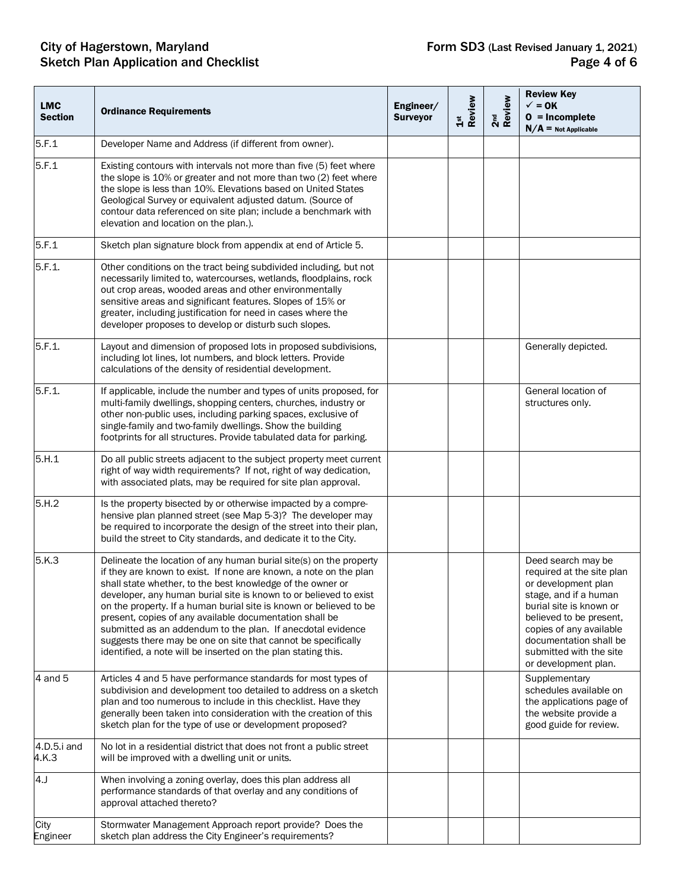## City of Hagerstown, Maryland **Form SD3** (Last Revised January 1, 2021) Sketch Plan Application and Checklist **Page 4 of 6** Sketch Plan Application and Checklist

| <b>LMC</b><br><b>Section</b> | <b>Ordinance Requirements</b>                                                                                                                                                                                                                                                                                                                                                                                                                                                                                                                                                                                | Engineer/<br><b>Surveyor</b> | Review<br>$\frac{5}{10}$ | 2 <sup>nd</sup><br>Review | <b>Review Key</b><br>$\checkmark$ = 0K<br>$0 = Incomplete$<br>$N/A =$ Not Applicable                                                                                                                                                                          |
|------------------------------|--------------------------------------------------------------------------------------------------------------------------------------------------------------------------------------------------------------------------------------------------------------------------------------------------------------------------------------------------------------------------------------------------------------------------------------------------------------------------------------------------------------------------------------------------------------------------------------------------------------|------------------------------|--------------------------|---------------------------|---------------------------------------------------------------------------------------------------------------------------------------------------------------------------------------------------------------------------------------------------------------|
| 5.F.1                        | Developer Name and Address (if different from owner).                                                                                                                                                                                                                                                                                                                                                                                                                                                                                                                                                        |                              |                          |                           |                                                                                                                                                                                                                                                               |
| 5.F.1                        | Existing contours with intervals not more than five (5) feet where<br>the slope is 10% or greater and not more than two (2) feet where<br>the slope is less than 10%. Elevations based on United States<br>Geological Survey or equivalent adjusted datum. (Source of<br>contour data referenced on site plan; include a benchmark with<br>elevation and location on the plan.).                                                                                                                                                                                                                             |                              |                          |                           |                                                                                                                                                                                                                                                               |
| 5.F.1                        | Sketch plan signature block from appendix at end of Article 5.                                                                                                                                                                                                                                                                                                                                                                                                                                                                                                                                               |                              |                          |                           |                                                                                                                                                                                                                                                               |
| 5.F.1.                       | Other conditions on the tract being subdivided including, but not<br>necessarily limited to, watercourses, wetlands, floodplains, rock<br>out crop areas, wooded areas and other environmentally<br>sensitive areas and significant features. Slopes of 15% or<br>greater, including justification for need in cases where the<br>developer proposes to develop or disturb such slopes.                                                                                                                                                                                                                      |                              |                          |                           |                                                                                                                                                                                                                                                               |
| 5.F.1.                       | Layout and dimension of proposed lots in proposed subdivisions,<br>including lot lines, lot numbers, and block letters. Provide<br>calculations of the density of residential development.                                                                                                                                                                                                                                                                                                                                                                                                                   |                              |                          |                           | Generally depicted.                                                                                                                                                                                                                                           |
| 5.F.1.                       | If applicable, include the number and types of units proposed, for<br>multi-family dwellings, shopping centers, churches, industry or<br>other non-public uses, including parking spaces, exclusive of<br>single-family and two-family dwellings. Show the building<br>footprints for all structures. Provide tabulated data for parking.                                                                                                                                                                                                                                                                    |                              |                          |                           | General location of<br>structures only.                                                                                                                                                                                                                       |
| 5.H.1                        | Do all public streets adjacent to the subject property meet current<br>right of way width requirements? If not, right of way dedication,<br>with associated plats, may be required for site plan approval.                                                                                                                                                                                                                                                                                                                                                                                                   |                              |                          |                           |                                                                                                                                                                                                                                                               |
| 5.H.2                        | Is the property bisected by or otherwise impacted by a compre-<br>hensive plan planned street (see Map 5-3)? The developer may<br>be required to incorporate the design of the street into their plan,<br>build the street to City standards, and dedicate it to the City.                                                                                                                                                                                                                                                                                                                                   |                              |                          |                           |                                                                                                                                                                                                                                                               |
| 5.K.3                        | Delineate the location of any human burial site(s) on the property<br>if they are known to exist. If none are known, a note on the plan<br>shall state whether, to the best knowledge of the owner or<br>developer, any human burial site is known to or believed to exist<br>on the property. If a human burial site is known or believed to be<br>present, copies of any available documentation shall be<br>submitted as an addendum to the plan. If anecdotal evidence<br>suggests there may be one on site that cannot be specifically<br>identified, a note will be inserted on the plan stating this. |                              |                          |                           | Deed search may be<br>required at the site plan<br>or development plan<br>stage, and if a human<br>burial site is known or<br>believed to be present,<br>copies of any available<br>documentation shall be<br>submitted with the site<br>or development plan. |
| 4 and 5                      | Articles 4 and 5 have performance standards for most types of<br>subdivision and development too detailed to address on a sketch<br>plan and too numerous to include in this checklist. Have they<br>generally been taken into consideration with the creation of this<br>sketch plan for the type of use or development proposed?                                                                                                                                                                                                                                                                           |                              |                          |                           | Supplementary<br>schedules available on<br>the applications page of<br>the website provide a<br>good guide for review.                                                                                                                                        |
| 4.D.5.i and<br>4.K.3         | No lot in a residential district that does not front a public street<br>will be improved with a dwelling unit or units.                                                                                                                                                                                                                                                                                                                                                                                                                                                                                      |                              |                          |                           |                                                                                                                                                                                                                                                               |
| 4.J                          | When involving a zoning overlay, does this plan address all<br>performance standards of that overlay and any conditions of<br>approval attached thereto?                                                                                                                                                                                                                                                                                                                                                                                                                                                     |                              |                          |                           |                                                                                                                                                                                                                                                               |
| City<br>Engineer             | Stormwater Management Approach report provide? Does the<br>sketch plan address the City Engineer's requirements?                                                                                                                                                                                                                                                                                                                                                                                                                                                                                             |                              |                          |                           |                                                                                                                                                                                                                                                               |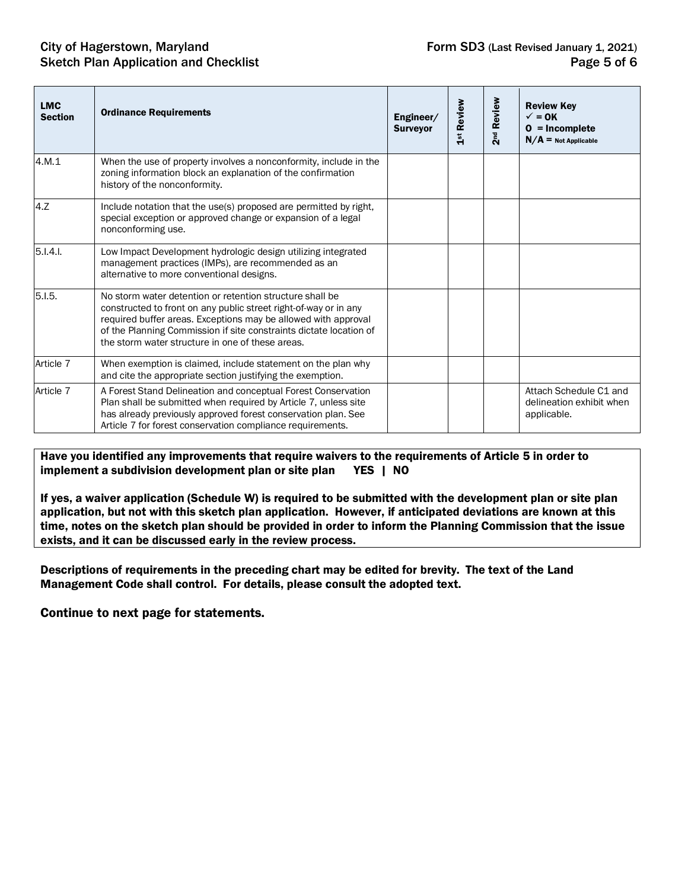### City of Hagerstown, Maryland **Form SD3** (Last Revised January 1, 2021) Sketch Plan Application and Checklist **Page 5 of 6** and  $\overline{P}$  Page 5 of 6

| <b>LMC</b><br><b>Section</b> | <b>Ordinance Requirements</b>                                                                                                                                                                                                                                                                                            | Engineer/<br><b>Surveyor</b> | 1st Review | 2 <sup>nd</sup> Review | <b>Review Key</b><br>$\sqrt{}=$ OK<br>$0 = Incomplete$<br>$N/A =$ Not Applicable |
|------------------------------|--------------------------------------------------------------------------------------------------------------------------------------------------------------------------------------------------------------------------------------------------------------------------------------------------------------------------|------------------------------|------------|------------------------|----------------------------------------------------------------------------------|
| 4.M.1                        | When the use of property involves a nonconformity, include in the<br>zoning information block an explanation of the confirmation<br>history of the nonconformity.                                                                                                                                                        |                              |            |                        |                                                                                  |
| 4.Z                          | Include notation that the use(s) proposed are permitted by right,<br>special exception or approved change or expansion of a legal<br>nonconforming use.                                                                                                                                                                  |                              |            |                        |                                                                                  |
| 5.1.4.1                      | Low Impact Development hydrologic design utilizing integrated<br>management practices (IMPs), are recommended as an<br>alternative to more conventional designs.                                                                                                                                                         |                              |            |                        |                                                                                  |
| 5.1.5.                       | No storm water detention or retention structure shall be<br>constructed to front on any public street right-of-way or in any<br>required buffer areas. Exceptions may be allowed with approval<br>of the Planning Commission if site constraints dictate location of<br>the storm water structure in one of these areas. |                              |            |                        |                                                                                  |
| Article 7                    | When exemption is claimed, include statement on the plan why<br>and cite the appropriate section justifying the exemption.                                                                                                                                                                                               |                              |            |                        |                                                                                  |
| Article 7                    | A Forest Stand Delineation and conceptual Forest Conservation<br>Plan shall be submitted when required by Article 7, unless site<br>has already previously approved forest conservation plan. See<br>Article 7 for forest conservation compliance requirements.                                                          |                              |            |                        | Attach Schedule C1 and<br>delineation exhibit when<br>applicable.                |

Have you identified any improvements that require waivers to the requirements of Article 5 in order to implement a subdivision development plan or site plan YES | NO

If yes, a waiver application (Schedule W) is required to be submitted with the development plan or site plan application, but not with this sketch plan application. However, if anticipated deviations are known at this time, notes on the sketch plan should be provided in order to inform the Planning Commission that the issue exists, and it can be discussed early in the review process.

Descriptions of requirements in the preceding chart may be edited for brevity. The text of the Land Management Code shall control. For details, please consult the adopted text.

#### Continue to next page for statements.